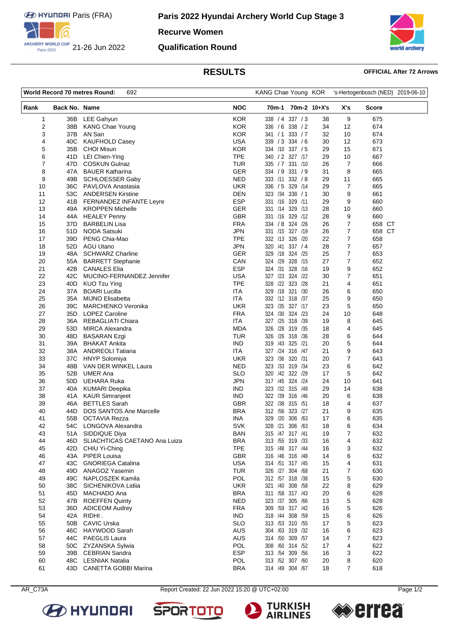

**Recurve Women**

### **Qualification Round**



# **RESULTS OFFICIAL After 72 Arrows**

| World Record 70 metres Round:<br>692 |                      | KANG Chae Young KOR                            |                          | 's-Hertogenbosch (NED) 2019-06-10     |              |                  |              |  |
|--------------------------------------|----------------------|------------------------------------------------|--------------------------|---------------------------------------|--------------|------------------|--------------|--|
| Rank                                 | <b>Back No. Name</b> |                                                | <b>NOC</b>               | 70m-1                                 | 70m-2 10+X's | X's              | <b>Score</b> |  |
| 1                                    | 36B                  | LEE Gahyun                                     | <b>KOR</b>               | 338 / 4 337 / 3                       | 38           | 9                | 675          |  |
| $\overline{\mathbf{c}}$              | 38B                  | <b>KANG Chae Young</b>                         | <b>KOR</b>               | 336 / 6 338 / 2                       | 34           | 12               | 674          |  |
| 3                                    | 37B                  | AN San                                         | <b>KOR</b>               | 341 / 1 333 / 7                       | 32           | 10               | 674          |  |
| 4                                    | 40C                  | <b>KAUFHOLD Casey</b>                          | <b>USA</b>               | 339 / 3 334 / 6                       | 30           | 12               | 673          |  |
| 5                                    | 35B                  | <b>CHOI Misun</b>                              | <b>KOR</b>               | 334 /10 337 / 5                       | 29           | 15               | 671          |  |
| 6                                    | 41 D                 | LEI Chien-Ying                                 | <b>TPE</b>               | 340 / 2 327 /17                       | 29           | 10               | 667          |  |
| 7                                    | 47D                  | <b>COSKUN Gulnaz</b>                           | TUR                      | 335 / 7 331 /10                       | 26           | 7                | 666          |  |
| 8                                    | 47A                  | <b>BAUER Katharina</b>                         | <b>GER</b>               | 334 / 9 331 / 9                       | 31           | 8                | 665          |  |
| 9                                    | 49B                  | <b>SCHLOESSER Gaby</b>                         | <b>NED</b>               | 333 /11 332 / 8                       | 29           | 11               | 665          |  |
| 10                                   |                      | 36C PAVLOVA Anastasia                          | UKR                      | 336 / 5 329 / 14                      | 29           | $\overline{7}$   | 665          |  |
| 11                                   |                      | 53C ANDERSEN Kirstine                          | <b>DEN</b><br><b>ESP</b> | 323 /34<br>338 / 1<br>331 /16 329 /11 | 30           | 9                | 661          |  |
| 12                                   |                      | 41B FERNANDEZ INFANTE Leyre                    |                          |                                       | 29           | 9                | 660          |  |
| 13<br>14                             | 49A<br>44A           | <b>KROPPEN Michelle</b><br><b>HEALEY Penny</b> | <b>GER</b><br><b>GBR</b> | 331 /14 329 /13<br>331 /16<br>329 /12 | 28<br>28     | 10<br>9          | 660<br>660   |  |
| 15                                   | 37D                  | <b>BARBELIN Lisa</b>                           | <b>FRA</b>               | 334 / 8 324 / 26                      | 26           | $\overline{7}$   | 658 CT       |  |
| 16                                   | 51D                  | <b>NODA Satsuki</b>                            | <b>JPN</b>               | 331 /15 327 /19                       | 26           | 7                | 658 CT       |  |
| 17                                   | 39D                  | PENG Chia-Mao                                  | <b>TPE</b>               | 332 /13<br>326 /20                    | 22           | 7                | 658          |  |
| 18                                   | 52D                  | <b>AGU Utano</b>                               | <b>JPN</b>               | 320 /41 337 / 4                       | 28           | $\boldsymbol{7}$ | 657          |  |
| 19                                   | 48A                  | <b>SCHWARZ Charline</b>                        | GER                      | 329 /18 324 /25                       | 25           | 7                | 653          |  |
| 20                                   | 55A                  | <b>BARRETT Stephanie</b>                       | CAN                      | 328 /15<br>324 /29                    | 27           | $\overline{7}$   | 652          |  |
| 21                                   | 42B                  | <b>CANALES Elia</b>                            | <b>ESP</b>               | 324 /31 328 /16                       | 19           | 9                | 652          |  |
| 22                                   | 42C                  | MUCINO-FERNANDEZ Jennifer                      | <b>USA</b>               | 327 /23 324 /22                       | 30           | 7                | 651          |  |
| 23                                   | 40D                  | <b>KUO Tzu Ying</b>                            | <b>TPE</b>               | 323 /28<br>328<br>/22                 | 21           | 4                | 651          |  |
| 24                                   | 37A                  | <b>BOARI Lucilla</b>                           | ITA                      | 329 /18 321 /30                       | 26           | 6                | 650          |  |
| 25                                   | 35A                  | <b>MIJNO Elisabetta</b>                        | <b>ITA</b>               | 332 /12 318 /37                       | 25           | 9                | 650          |  |
| 26                                   | 39C                  | <b>MARCHENKO Veronika</b>                      | <b>UKR</b>               | 323 /35 327 /17                       | 23           | 5                | 650          |  |
| 27                                   | 35D                  | <b>LOPEZ Caroline</b>                          | <b>FRA</b>               | 324 /30 324 /23                       | 24           | 10               | 648          |  |
| 28                                   | 36A                  | <b>REBAGLIATI Chiara</b>                       | <b>ITA</b>               | 327 /25 318 /39                       | 19           | 8                | 645          |  |
| 29                                   | 53D                  | <b>MIRCA Alexandra</b>                         | <b>MDA</b>               | 326<br>/28 319 /35                    | 18           | 4                | 645          |  |
| 30                                   | 48D                  | <b>BASARAN Ezgi</b>                            | TUR                      | 326 /26 318 /36                       | 28           | 6                | 644          |  |
| 31                                   | 39A                  | <b>BHAKAT Ankita</b>                           | <b>IND</b>               | 319 /43 325 /21                       | 20           | 5                | 644          |  |
| 32                                   |                      | 38A ANDREOLI Tatiana                           | <b>ITA</b>               | 327 /24 316 /47                       | 21           | 9                | 643          |  |
| 33                                   | 37C                  | <b>HNYP Solomiya</b>                           | UKR                      | 323 /36 320 /31                       | 20           | 7                | 643          |  |
| 34                                   | 48B                  | VAN DER WINKEL Laura                           | <b>NED</b>               | 323 /33 319 /34                       | 23           | 6                | 642          |  |
| 35                                   | 52B                  | <b>UMER Ana</b>                                | <b>SLO</b>               | /42 322 /29<br>320                    | 17           | 5                | 642          |  |
| 36<br>37                             | 50D<br>40A           | UEHARA Ruka<br><b>KUMARI Deepika</b>           | JPN<br><b>IND</b>        | 317 /45 324 /24<br>323 /32 315 /49    | 24<br>29     | 10<br>14         | 641<br>638   |  |
| 38                                   | 41A                  | <b>KAUR Simranjeet</b>                         | <b>IND</b>               | 322 /39 316 /46                       | 20           | 6                | 638          |  |
| 39                                   | 46A                  | <b>BETTLES Sarah</b>                           | <b>GBR</b>               | 322 / 38 315 / 51                     | 18           | 4                | 637          |  |
| 40                                   | 44D                  | <b>DOS SANTOS Ane Marcelle</b>                 | <b>BRA</b>               | /56<br>323 /27<br>312                 | 21           | 9                | 635          |  |
| 41                                   | 55B                  | <b>OCTAVIA Rezza</b>                           | INA                      | 329 /20 306 /63                       | 17           | 6                | 635          |  |
| 42                                   |                      | 54C LONGOVA Alexandra                          | SVK                      | 328 /21 306 /63                       | 18           | 6                | 634          |  |
| 43                                   | 51A                  | SIDDIQUE Diya                                  | <b>BAN</b>               | 315 /47 317 /41                       | 19           | 7                | 632          |  |
| 44                                   | 46D                  | SLIACHTICAS CAETANO Ana Luiza                  | <b>BRA</b>               | 313 /55 319 /33                       | 16           | 4                | 632          |  |
| 45                                   | 42D                  | CHIU Yi-Ching                                  | <b>TPE</b>               | 315 /48 317 /44                       | 16           | 3                | 632          |  |
| 46                                   |                      | 43A PIPER Louisa                               | GBR                      | 316 /46 316 /48                       | 14           | 6                | 632          |  |
| 47                                   | 43C                  | <b>GNORIEGA Catalina</b>                       | <b>USA</b>               | 314 /51 317 /45                       | 15           | 4                | 631          |  |
| 48                                   | 49D                  | <b>ANAGOZ Yasemin</b>                          | <b>TUR</b>               | 326 /27 304 /68                       | 21           | 7                | 630          |  |
| 49                                   | 49C                  | NAPLOSZEK Kamila                               | <b>POL</b>               | 312 /57 318 /38                       | 15           | 5                | 630          |  |
| 50                                   | 38C                  | SICHENIKOVA Lidiia                             | <b>UKR</b>               | 321 /40 308 /58                       | 22           | 8                | 629          |  |
| 51                                   | 45D                  | MACHADO Ana                                    | <b>BRA</b>               | 311 /58 317 /43                       | 20           | 6                | 628          |  |
| 52                                   | 47B                  | <b>ROEFFEN Quinty</b>                          | <b>NED</b>               | 323 /37 305 /66                       | 13           | 5                | 628          |  |
| 53                                   | 36D                  | <b>ADICEOM Audrey</b>                          | <b>FRA</b>               | 309 /59 317 /42                       | 16           | 5                | 626          |  |
| 54                                   |                      | 42A RIDHI.                                     | <b>IND</b>               | 318 /44 308 /59                       | 15           | 6                | 626          |  |
| 55                                   | 50B                  | <b>CAVIC Urska</b>                             | <b>SLO</b>               | 313 /53 310 /55                       | 17           | 5                | 623          |  |
| 56                                   | 46C                  | HAYWOOD Sarah                                  | <b>AUS</b>               | 304 /63 319 /32                       | 16           | 6                | 623          |  |
| 57                                   |                      | 44C PAEGLIS Laura                              | AUS                      | 314 /50 309 /57                       | 14           | 7                | 623          |  |
| 58<br>59                             | 39B                  | 50C ZYZANSKA Sylwia<br><b>CEBRIAN Sandra</b>   | <b>POL</b><br><b>ESP</b> | 308 /60 314 /52<br>313 /54 309 /56    | 17           | 4<br>3           | 622<br>622   |  |
| 60                                   |                      | 48C LESNIAK Natalia                            | POL                      | 313 /52 307 /60                       | 16<br>20     | 8                | 620          |  |
| 61                                   | 43D                  | <b>CANETTA GOBBI Marina</b>                    | <b>BRA</b>               | 314 /49 304 /67                       | 18           | $\overline{7}$   | 618          |  |
|                                      |                      |                                                |                          |                                       |              |                  |              |  |

AR\_C73A Report Created: 22 Jun 2022 15:20 @ UTC+02:00